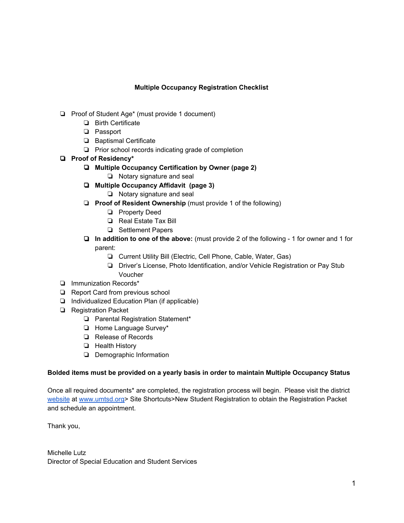## **Multiple Occupancy Registration Checklist**

- ❏ Proof of Student Age\* (must provide 1 document)
	- ❏ Birth Certificate
	- ❏ Passport
	- ❏ Baptismal Certificate
	- ❏ Prior school records indicating grade of completion
- ❏ **Proof of Residency\***
	- ❏ **Multiple Occupancy Certification by Owner (page 2)**
		- ❏ Notary signature and seal
	- ❏ **Multiple Occupancy Affidavit (page 3)**
		- ❏ Notary signature and seal
	- ❏ **Proof of Resident Ownership** (must provide 1 of the following)
		- ❏ Property Deed
		- ❏ Real Estate Tax Bill
		- ❏ Settlement Papers
	- ❏ **In addition to one of the above:** (must provide 2 of the following 1 for owner and 1 for parent:
		- ❏ Current Utility Bill (Electric, Cell Phone, Cable, Water, Gas)
		- ❏ Driver's License, Photo Identification, and/or Vehicle Registration or Pay Stub Voucher
- ❏ Immunization Records\*
- ❏ Report Card from previous school
- ❏ Individualized Education Plan (if applicable)
- ❏ Registration Packet
	- ❏ Parental Registration Statement\*
	- ❏ Home Language Survey\*
	- ❏ Release of Records
	- ❏ Health History
	- ❏ Demographic Information

## **Bolded items must be provided on a yearly basis in order to maintain Multiple Occupancy Status**

Once all required documents\* are completed, the registration process will begin. Please visit the district [website](http://www.signupgenius.com/go/5080f45a5ac23abfc1-registration) at [www.umtsd.org>](http://www.umtsd.org/) Site Shortcuts>New Student Registration to obtain the Registration Packet and schedule an appointment.

Thank you,

Michelle Lutz Director of Special Education and Student Services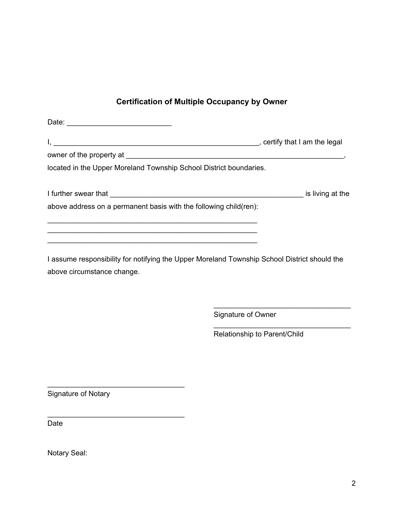## **Certification of Multiple Occupancy by Owner**

| located in the Upper Moreland Township School District boundaries. |  |
|--------------------------------------------------------------------|--|
|                                                                    |  |
| above address on a permanent basis with the following child(ren):  |  |
|                                                                    |  |

I assume responsibility for notifying the Upper Moreland Township School District should the above circumstance change.

\_\_\_\_\_\_\_\_\_\_\_\_\_\_\_\_\_\_\_\_\_\_\_\_\_\_\_\_\_\_\_\_\_\_\_\_\_\_\_\_\_\_\_\_\_\_\_\_\_\_\_\_

Signature of Owner

Relationship to Parent/Child

\_\_\_\_\_\_\_\_\_\_\_\_\_\_\_\_\_\_\_\_\_\_\_\_\_\_\_\_\_\_\_\_\_\_

\_\_\_\_\_\_\_\_\_\_\_\_\_\_\_\_\_\_\_\_\_\_\_\_\_\_\_\_\_\_\_\_\_\_

Signature of Notary

\_\_\_\_\_\_\_\_\_\_\_\_\_\_\_\_\_\_\_\_\_\_\_\_\_\_\_\_\_\_\_\_\_\_

\_\_\_\_\_\_\_\_\_\_\_\_\_\_\_\_\_\_\_\_\_\_\_\_\_\_\_\_\_\_\_\_\_\_

Date

Notary Seal: